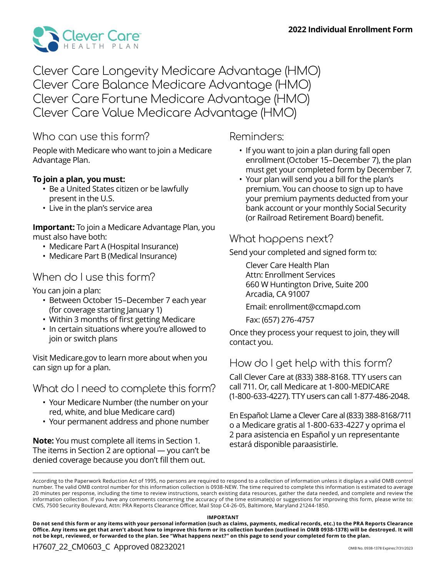

Clever Care Longevity Medicare Advantage (HMO) Clever Care Balance Medicare Advantage (HMO) Clever Care Fortune Medicare Advantage (HMO) Clever Care Value Medicare Advantage (HMO)

## Who can use this form?

People with Medicare who want to join a Medicare Advantage Plan.

#### **To join a plan, you must:**

- Be a United States citizen or be lawfully present in the U.S.
- Live in the plan's service area

#### **Important:** To join a Medicare Advantage Plan, you must also have both:

- Medicare Part A (Hospital Insurance)
- Medicare Part B (Medical Insurance)

## When do I use this form?

You can join a plan:

- Between October 15–December 7 each year (for coverage starting January 1)
- Within 3 months of first getting Medicare
- In certain situations where you're allowed to join or switch plans

Visit Medicare.gov to learn more about when you can sign up for a plan.

What do I need to complete this form?

- Your Medicare Number (the number on your red, white, and blue Medicare card)
- Your permanent address and phone number

**Note:** You must complete all items in Section 1. The items in Section 2 are optional — you can't be denied coverage because you don't fill them out.

## Reminders:

- If you want to join a plan during fall open enrollment (October 15–December 7), the plan must get your completed form by December 7.
- Your plan will send you a bill for the plan's premium. You can choose to sign up to have your premium payments deducted from your bank account or your monthly Social Security (or Railroad Retirement Board) benefit.

## What happens next?

Send your completed and signed form to:

Clever Care Health Plan Attn: Enrollment Services 660 W Huntington Drive, Suite 200 Arcadia, CA 91007

Email: enrollment@ccmapd.com

Fax: (657) 276-4757

Once they process your request to join, they will contact you.

## How do I get help with this form?

Call Clever Care at (833) 388-8168. TTY users can call 711. Or, call Medicare at 1-800-MEDICARE (1-800-633-4227). TTY users can call 1-877-486-2048.

En Español: Llame a Clever Care al (833) 388-8168/711 o a Medicare gratis al 1-800-633-4227 y oprima el 2 para asistencia en Español y un representante estará disponible paraasistirle.

**IMPORTANT** 

**Do not send this form or any items with your personal information (such as claims, payments, medical records, etc.) to the PRA Reports Clearance Office. Any items we get that aren't about how to improve this form or its collection burden (outlined in OMB 0938-1378) will be destroyed. It will not be kept, reviewed, or forwarded to the plan. See "What happens next?" on this page to send your completed form to the plan.**

According to the Paperwork Reduction Act of 1995, no persons are required to respond to a collection of information unless it displays a valid OMB control number. The valid OMB control number for this information collection is 0938-NEW. The time required to complete this information is estimated to average 20 minutes per response, including the time to review instructions, search existing data resources, gather the data needed, and complete and review the information collection. If you have any comments concerning the accuracy of the time estimate(s) or suggestions for improving this form, please write to: CMS, 7500 Security Boulevard, Attn: PRA Reports Clearance Officer, Mail Stop C4-26-05, Baltimore, Maryland 21244-1850.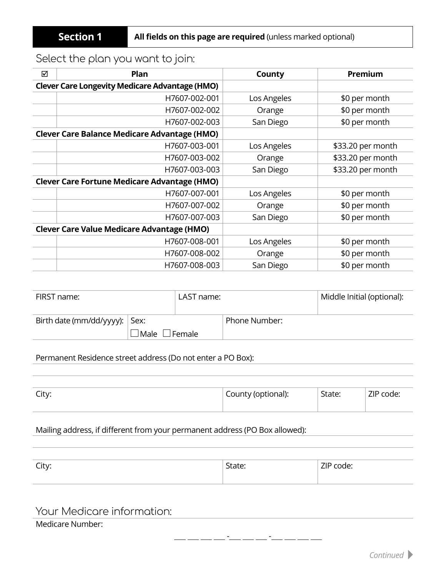# Select the plan you want to join:

| ☑                                                 | Plan                                                  | County      | Premium           |
|---------------------------------------------------|-------------------------------------------------------|-------------|-------------------|
|                                                   | <b>Clever Care Longevity Medicare Advantage (HMO)</b> |             |                   |
|                                                   | H7607-002-001                                         | Los Angeles | \$0 per month     |
|                                                   | H7607-002-002                                         | Orange      | \$0 per month     |
|                                                   | H7607-002-003                                         | San Diego   | \$0 per month     |
|                                                   | <b>Clever Care Balance Medicare Advantage (HMO)</b>   |             |                   |
|                                                   | H7607-003-001                                         | Los Angeles | \$33.20 per month |
|                                                   | H7607-003-002                                         | Orange      | \$33.20 per month |
|                                                   | H7607-003-003                                         | San Diego   | \$33.20 per month |
|                                                   | <b>Clever Care Fortune Medicare Advantage (HMO)</b>   |             |                   |
|                                                   | H7607-007-001                                         | Los Angeles | \$0 per month     |
|                                                   | H7607-007-002                                         | Orange      | \$0 per month     |
|                                                   | H7607-007-003                                         | San Diego   | \$0 per month     |
| <b>Clever Care Value Medicare Advantage (HMO)</b> |                                                       |             |                   |
|                                                   | H7607-008-001                                         | Los Angeles | \$0 per month     |
|                                                   | H7607-008-002                                         | Orange      | \$0 per month     |
|                                                   | H7607-008-003                                         | San Diego   | \$0 per month     |

| FIRST name:                              |                           | LAST name: |               | Middle Initial (optional): |
|------------------------------------------|---------------------------|------------|---------------|----------------------------|
| Birth date ( $mm/dd/yyy$ ): $\vert$ Sex: | $\Box$ Male $\Box$ Female |            | Phone Number: |                            |

#### Permanent Residence street address (Do not enter a PO Box):

| $C_{\rm{itv}}$<br><b>CILV.</b> | County (optional): | State: | 71D <sub>1</sub><br>code: |
|--------------------------------|--------------------|--------|---------------------------|
|                                |                    |        |                           |

### Mailing address, if different from your permanent address (PO Box allowed):

| $\sim$ in $\sim$<br>City. | $\sim$<br>dle.<br>- - - - - - | $\overline{\phantom{a}}$<br>.<br>coue.<br><u>.</u><br>----- |
|---------------------------|-------------------------------|-------------------------------------------------------------|
|                           |                               |                                                             |

## Your Medicare information:

#### Medicare Number:

- -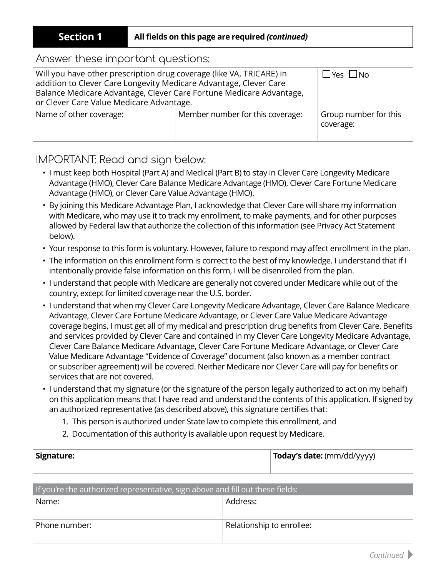#### **Section 1 All fields on this page are required** *(continued)*

### Answer these important questions:

| Will you have other prescription drug coverage (like VA, TRICARE) in<br>addition to Clever Care Longevity Medicare Advantage, Clever Care<br>Balance Medicare Advantage, Clever Care Fortune Medicare Advantage,<br>or Clever Care Value Medicare Advantage. | ⊥Yes ∟No                         |                                    |
|--------------------------------------------------------------------------------------------------------------------------------------------------------------------------------------------------------------------------------------------------------------|----------------------------------|------------------------------------|
| Name of other coverage:                                                                                                                                                                                                                                      | Member number for this coverage: | Group number for this<br>coverage: |

## IMPORTANT: Read and sign below:

- I must keep both Hospital (Part A) and Medical (Part B) to stay in Clever Care Longevity Medicare Advantage (HMO), Clever Care Balance Medicare Advantage (HMO), Clever Care Fortune Medicare Advantage (HMO), or Clever Care Value Advantage (HMO).
- By joining this Medicare Advantage Plan, I acknowledge that Clever Care will share my information with Medicare, who may use it to track my enrollment, to make payments, and for other purposes allowed by Federal law that authorize the collection of this information (see Privacy Act Statement below).
- Your response to this form is voluntary. However, failure to respond may affect enrollment in the plan.
- The information on this enrollment form is correct to the best of my knowledge. I understand that if I intentionally provide false information on this form, I will be disenrolled from the plan.
- I understand that people with Medicare are generally not covered under Medicare while out of the country, except for limited coverage near the U.S. border.
- I understand that when my Clever Care Longevity Medicare Advantage, Clever Care Balance Medicare Advantage, Clever Care Fortune Medicare Advantage, or Clever Care Value Medicare Advantage coverage begins, I must get all of my medical and prescription drug benefits from Clever Care. Benefits and services provided by Clever Care and contained in my Clever Care Longevity Medicare Advantage, Clever Care Balance Medicare Advantage, Clever Care Fortune Medicare Advantage, or Clever Care Value Medicare Advantage "Evidence of Coverage" document (also known as a member contract or subscriber agreement) will be covered. Neither Medicare nor Clever Care will pay for benefits or services that are not covered.
- I understand that my signature (or the signature of the person legally authorized to act on my behalf) on this application means that I have read and understand the contents of this application. If signed by an authorized representative (as described above), this signature certifies that:
	- 1. This person is authorized under State law to complete this enrollment, and
	- 2. Documentation of this authority is available upon request by Medicare.

| Signature: | Today's date: (mm/dd/yyyy) |
|------------|----------------------------|
|            |                            |

| If you're the authorized representative, sign above and fill out these fields: |                           |  |
|--------------------------------------------------------------------------------|---------------------------|--|
| Name:                                                                          | Address:                  |  |
|                                                                                |                           |  |
| Phone number:                                                                  | Relationship to enrollee: |  |
|                                                                                |                           |  |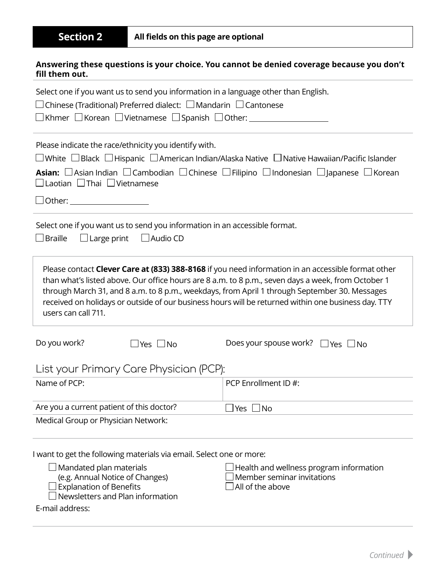#### **Answering these questions is your choice. You cannot be denied coverage because you don't fill them out.**

| Select one if you want us to send you information in a language other than English.                                                                                                                                                                                                                                                                                                                                                     |                                                |  |  |
|-----------------------------------------------------------------------------------------------------------------------------------------------------------------------------------------------------------------------------------------------------------------------------------------------------------------------------------------------------------------------------------------------------------------------------------------|------------------------------------------------|--|--|
| $\Box$ Chinese (Traditional) Preferred dialect: $\Box$ Mandarin $\Box$ Cantonese                                                                                                                                                                                                                                                                                                                                                        |                                                |  |  |
| Please indicate the race/ethnicity you identify with.<br>$\Box$ White $\Box$ Black $\Box$ Hispanic $\Box$ American Indian/Alaska Native $\Box$ Native Hawaiian/Pacific Islander<br><b>Asian:</b> $\Box$ Asian Indian $\Box$ Cambodian $\Box$ Chinese $\Box$ Filipino $\Box$ Indonesian $\Box$ Japanese $\Box$ Korean<br>$\Box$ Laotian $\Box$ Thai $\Box$ Vietnamese                                                                    |                                                |  |  |
| Select one if you want us to send you information in an accessible format.<br>$\Box$ Braille<br>$\Box$ Large print $\Box$ Audio CD                                                                                                                                                                                                                                                                                                      |                                                |  |  |
| Please contact Clever Care at (833) 388-8168 if you need information in an accessible format other<br>than what's listed above. Our office hours are 8 a.m. to 8 p.m., seven days a week, from October 1<br>through March 31, and 8 a.m. to 8 p.m., weekdays, from April 1 through September 30. Messages<br>received on holidays or outside of our business hours will be returned within one business day. TTY<br>users can call 711. |                                                |  |  |
| Do you work?<br>$\Box$ Yes $\Box$ No                                                                                                                                                                                                                                                                                                                                                                                                    | Does your spouse work? $\Box$ Yes $\Box$ No    |  |  |
| List your Primary Care Physician (PCP):                                                                                                                                                                                                                                                                                                                                                                                                 |                                                |  |  |
| Name of PCP:                                                                                                                                                                                                                                                                                                                                                                                                                            | PCP Enrollment ID#:                            |  |  |
| Are you a current patient of this doctor?                                                                                                                                                                                                                                                                                                                                                                                               | _l Yes ∣<br>$\sqcup$ No                        |  |  |
| Medical Group or Physician Network:                                                                                                                                                                                                                                                                                                                                                                                                     |                                                |  |  |
| I want to get the following materials via email. Select one or more:<br>(e.g. Annual Notice of Changes)<br><b>Explanation of Benefits</b><br>Newsletters and Plan information<br>E-mail address:                                                                                                                                                                                                                                        | Member seminar invitations<br>All of the above |  |  |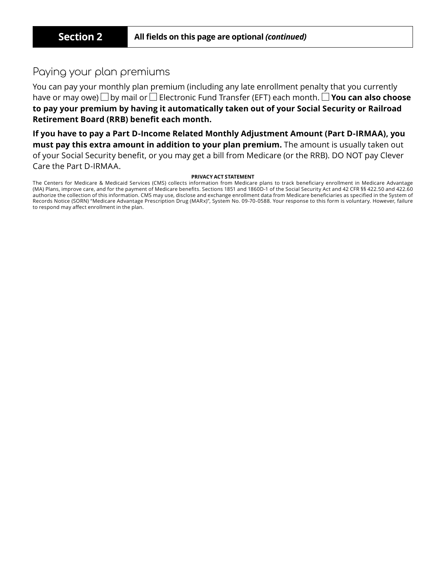## Paying your plan premiums

You can pay your monthly plan premium (including any late enrollment penalty that you currently have or may owe)  $□$  by mail or  $□$  Electronic Fund Transfer (EFT) each month.  $□$  **You can also choose to pay your premium by having it automatically taken out of your Social Security or Railroad Retirement Board (RRB) benefit each month.**

**If you have to pay a Part D-Income Related Monthly Adjustment Amount (Part D-IRMAA), you must pay this extra amount in addition to your plan premium.** The amount is usually taken out of your Social Security benefit, or you may get a bill from Medicare (or the RRB). DO NOT pay Clever Care the Part D-IRMAA.

#### **PRIVACY ACT STATEMENT**

The Centers for Medicare & Medicaid Services (CMS) collects information from Medicare plans to track beneficiary enrollment in Medicare Advantage (MA) Plans, improve care, and for the payment of Medicare benefits. Sections 1851 and 1860D-1 of the Social Security Act and 42 CFR §§ 422.50 and 422.60 authorize the collection of this information. CMS may use, disclose and exchange enrollment data from Medicare beneficiaries as specified in the System of Records Notice (SORN) "Medicare Advantage Prescription Drug (MARx)", System No. 09-70-0588. Your response to this form is voluntary. However, failure to respond may affect enrollment in the plan.